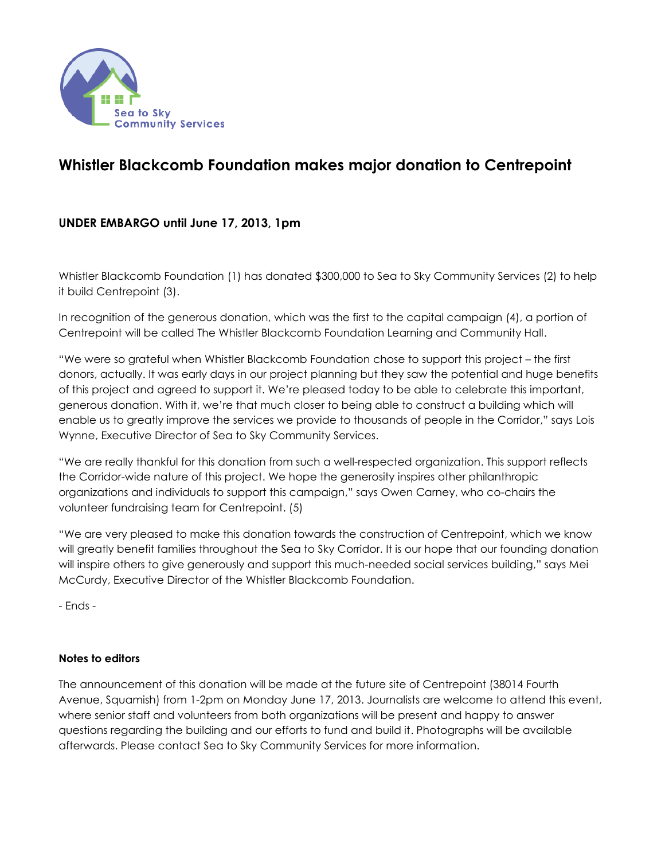

## **Whistler Blackcomb Foundation makes major donation to Centrepoint**

## **UNDER EMBARGO until June 17, 2013, 1pm**

Whistler Blackcomb Foundation (1) has donated \$300,000 to Sea to Sky Community Services (2) to help it build Centrepoint (3).

In recognition of the generous donation, which was the first to the capital campaign (4), a portion of Centrepoint will be called The Whistler Blackcomb Foundation Learning and Community Hall.

"We were so grateful when Whistler Blackcomb Foundation chose to support this project – the first donors, actually. It was early days in our project planning but they saw the potential and huge benefits of this project and agreed to support it. We're pleased today to be able to celebrate this important, generous donation. With it, we're that much closer to being able to construct a building which will enable us to greatly improve the services we provide to thousands of people in the Corridor," says Lois Wynne, Executive Director of Sea to Sky Community Services.

"We are really thankful for this donation from such a well-respected organization. This support reflects the Corridor-wide nature of this project. We hope the generosity inspires other philanthropic organizations and individuals to support this campaign," says Owen Carney, who co-chairs the volunteer fundraising team for Centrepoint. (5)

"We are very pleased to make this donation towards the construction of Centrepoint, which we know will greatly benefit families throughout the Sea to Sky Corridor. It is our hope that our founding donation will inspire others to give generously and support this much-needed social services building," says Mei McCurdy, Executive Director of the Whistler Blackcomb Foundation.

- Ends -

## **Notes to editors**

The announcement of this donation will be made at the future site of Centrepoint (38014 Fourth Avenue, Squamish) from 1-2pm on Monday June 17, 2013. Journalists are welcome to attend this event, where senior staff and volunteers from both organizations will be present and happy to answer questions regarding the building and our efforts to fund and build it. Photographs will be available afterwards. Please contact Sea to Sky Community Services for more information.